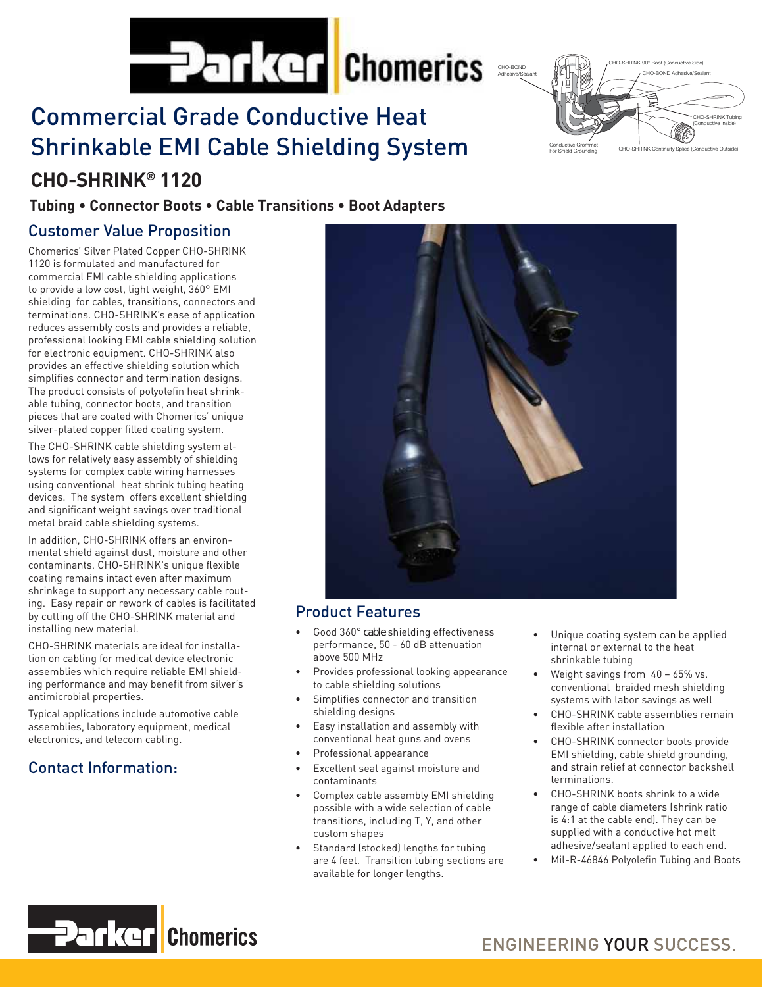

# Commercial Grade Conductive Heat Shrinkable EMI Cable Shielding System

## **CHO-SHRINK® 1120**

## **Tubing • Connector Boots • Cable Transitions • Boot Adapters**

## Customer Value Proposition

Chomerics' Silver Plated Copper CHO-SHRINK 1120 is formulated and manufactured for commercial EMI cable shielding applications to provide a low cost, light weight, 360° EMI shielding for cables, transitions, connectors and terminations. CHO-SHRINK's ease of application reduces assembly costs and provides a reliable, professional looking EMI cable shielding solution for electronic equipment. CHO-SHRINK also provides an effective shielding solution which simplifies connector and termination designs. The product consists of polyolefin heat shrinkable tubing, connector boots, and transition pieces that are coated with Chomerics' unique silver-plated copper filled coating system.

The CHO-SHRINK cable shielding system allows for relatively easy assembly of shielding systems for complex cable wiring harnesses using conventional heat shrink tubing heating devices. The system offers excellent shielding and significant weight savings over traditional metal braid cable shielding systems.

In addition, CHO-SHRINK offers an environmental shield against dust, moisture and other contaminants. CHO-SHRINK's unique flexible coating remains intact even after maximum shrinkage to support any necessary cable routing. Easy repair or rework of cables is facilitated by cutting off the CHO-SHRINK material and installing new material.

CHO-SHRINK materials are ideal for installation on cabling for medical device electronic assemblies which require reliable EMI shielding performance and may benefit from silver's antimicrobial properties.

Typical applications include automotive cable assemblies, laboratory equipment, medical electronics, and telecom cabling.

## Contact Information:



## Product Features

- Good 360° cable shielding effectiveness performance, 50 - 60 dB attenuation above 500 MHz
- Provides professional looking appearance to cable shielding solutions
- Simplifies connector and transition shielding designs
- Easy installation and assembly with conventional heat guns and ovens
- Professional appearance
- Excellent seal against moisture and contaminants
- Complex cable assembly EMI shielding possible with a wide selection of cable transitions, including T, Y, and other custom shapes
- Standard (stocked) lengths for tubing are 4 feet. Transition tubing sections are available for longer lengths.

Unique coating system can be applied internal or external to the heat shrinkable tubing

CHO-BOND Adhesive/Sealant CHO-SHRINK 90° Boot (Conductive Side)

Conductive Grommet<br>For Shield Crounding CHO-SHRINK Continuity Splice (Conductive Outside)

For Shield Grounding

CHO-SHRINK Tubing (Conductive Inside)

- Weight savings from  $40 65\%$  vs. conventional braided mesh shielding systems with labor savings as well
- CHO-SHRINK cable assemblies remain flexible after installation
- CHO-SHRINK connector boots provide EMI shielding, cable shield grounding, and strain relief at connector backshell terminations.
- CHO-SHRINK boots shrink to a wide range of cable diameters (shrink ratio is 4:1 at the cable end). They can be supplied with a conductive hot melt adhesive/sealant applied to each end.
- Mil-R-46846 Polyolefin Tubing and Boots

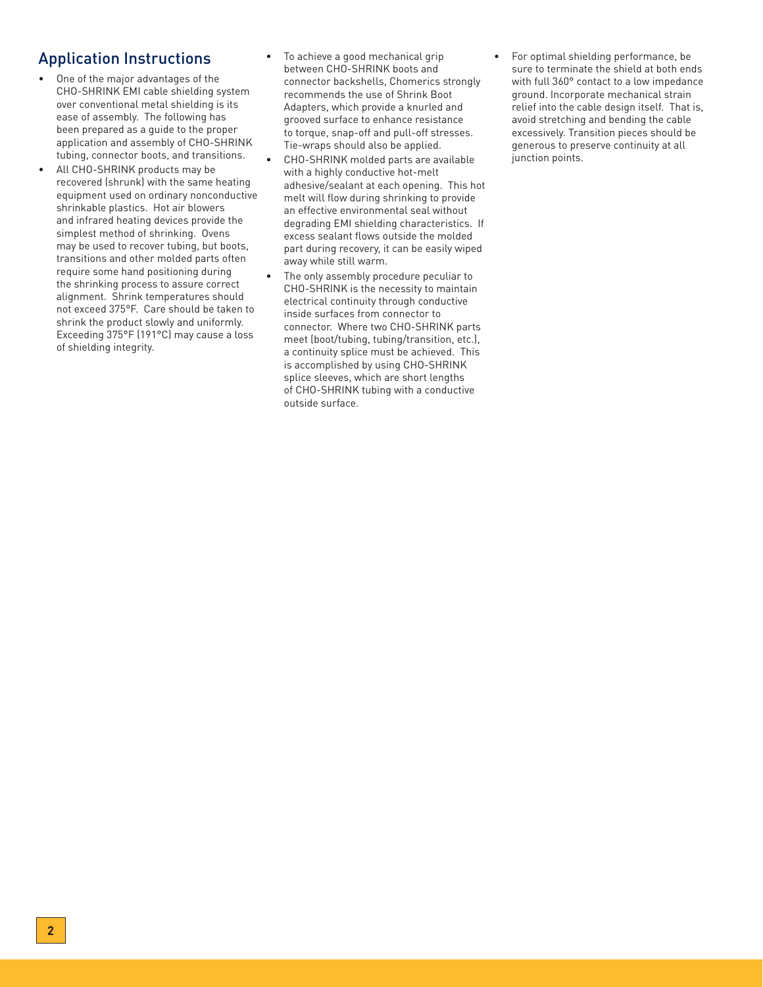## Application Instructions

- One of the major advantages of the CHO-SHRINK EMI cable shielding system over conventional metal shielding is its ease of assembly. The following has been prepared as a guide to the proper application and assembly of CHO-SHRINK tubing, connector boots, and transitions.
- All CHO-SHRINK products may be recovered (shrunk) with the same heating equipment used on ordinary nonconductive shrinkable plastics. Hot air blowers and infrared heating devices provide the simplest method of shrinking. Ovens may be used to recover tubing, but boots, transitions and other molded parts often require some hand positioning during the shrinking process to assure correct alignment. Shrink temperatures should not exceed 375°F. Care should be taken to shrink the product slowly and uniformly. Exceeding 375°F (191°C) may cause a loss of shielding integrity.
- To achieve a good mechanical grip between CHO-SHRINK boots and connector backshells, Chomerics strongly recommends the use of Shrink Boot Adapters, which provide a knurled and grooved surface to enhance resistance to torque, snap-off and pull-off stresses. Tie-wraps should also be applied.
- CHO-SHRINK molded parts are available with a highly conductive hot-melt adhesive/sealant at each opening. This hot melt will flow during shrinking to provide an effective environmental seal without degrading EMI shielding characteristics. If excess sealant flows outside the molded part during recovery, it can be easily wiped away while still warm.
- The only assembly procedure peculiar to CHO-SHRINK is the necessity to maintain electrical continuity through conductive inside surfaces from connector to connector. Where two CHO-SHRINK parts meet (boot/tubing, tubing/transition, etc.), a continuity splice must be achieved. This is accomplished by using CHO-SHRINK splice sleeves, which are short lengths of CHO-SHRINK tubing with a conductive outside surface.

• For optimal shielding performance, be sure to terminate the shield at both ends with full 360° contact to a low impedance ground. Incorporate mechanical strain relief into the cable design itself. That is, avoid stretching and bending the cable excessively. Transition pieces should be generous to preserve continuity at all junction points.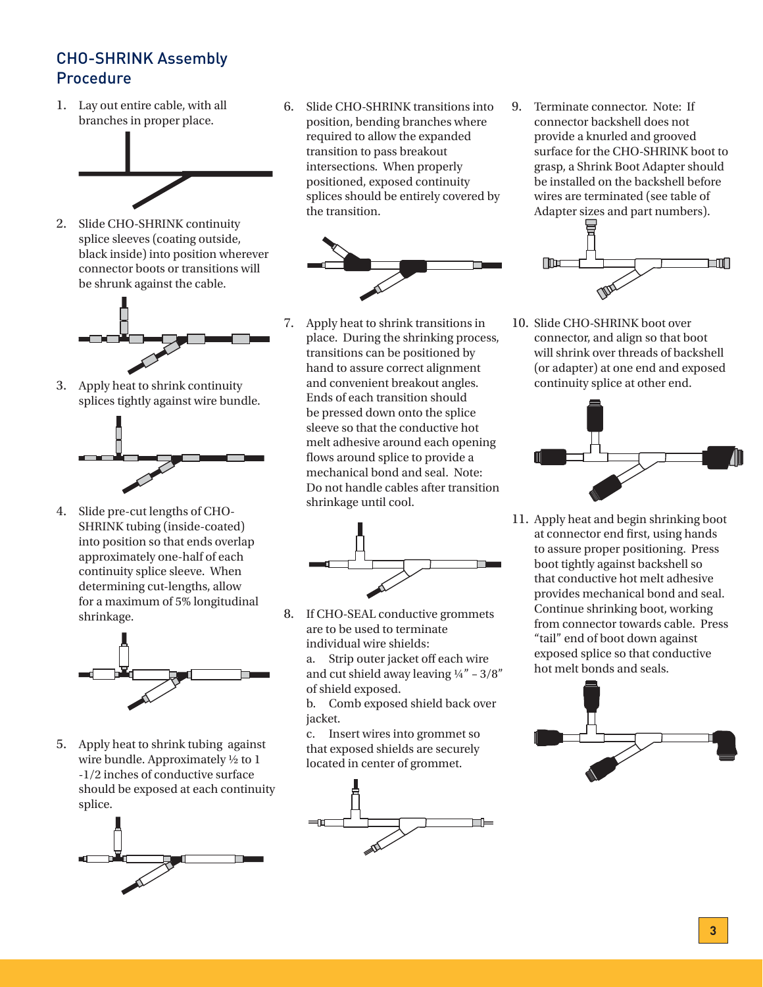## CHO-SHRINK Assembly Procedure

1. Lay out entire cable, with all branches in proper place.



2. Slide CHO-SHRINK continuity splice sleeves (coating outside, black inside) into position wherever connector boots or transitions will be shrunk against the cable.



3. Apply heat to shrink continuity splices tightly against wire bundle.



4. Slide pre-cut lengths of CHO-SHRINK tubing (inside-coated) into position so that ends overlap approximately one-half of each continuity splice sleeve. When determining cut-lengths, allow for a maximum of 5% longitudinal shrinkage.



5. Apply heat to shrink tubing against wire bundle. Approximately ½ to 1 -1/2 inches of conductive surface should be exposed at each continuity splice.



6. Slide CHO-SHRINK transitions into position, bending branches where required to allow the expanded transition to pass breakout intersections. When properly positioned, exposed continuity splices should be entirely covered by the transition.



7. Apply heat to shrink transitions in place. During the shrinking process, transitions can be positioned by hand to assure correct alignment and convenient breakout angles. Ends of each transition should be pressed down onto the splice sleeve so that the conductive hot melt adhesive around each opening flows around splice to provide a mechanical bond and seal. Note: Do not handle cables after transition shrinkage until cool.



8. If CHO-SEAL conductive grommets are to be used to terminate individual wire shields: a. Strip outer jacket off each wire and cut shield away leaving  $\frac{1}{4}$ " – 3/8" of shield exposed.

> b. Comb exposed shield back over jacket.

c. Insert wires into grommet so that exposed shields are securely located in center of grommet.



9. Terminate connector. Note: If connector backshell does not provide a knurled and grooved surface for the CHO-SHRINK boot to grasp, a Shrink Boot Adapter should be installed on the backshell before wires are terminated (see table of Adapter sizes and part numbers).



10. Slide CHO-SHRINK boot over connector, and align so that boot will shrink over threads of backshell (or adapter) at one end and exposed continuity splice at other end.



11. Apply heat and begin shrinking boot at connector end first, using hands to assure proper positioning. Press boot tightly against backshell so that conductive hot melt adhesive provides mechanical bond and seal. Continue shrinking boot, working from connector towards cable. Press "tail" end of boot down against exposed splice so that conductive hot melt bonds and seals.

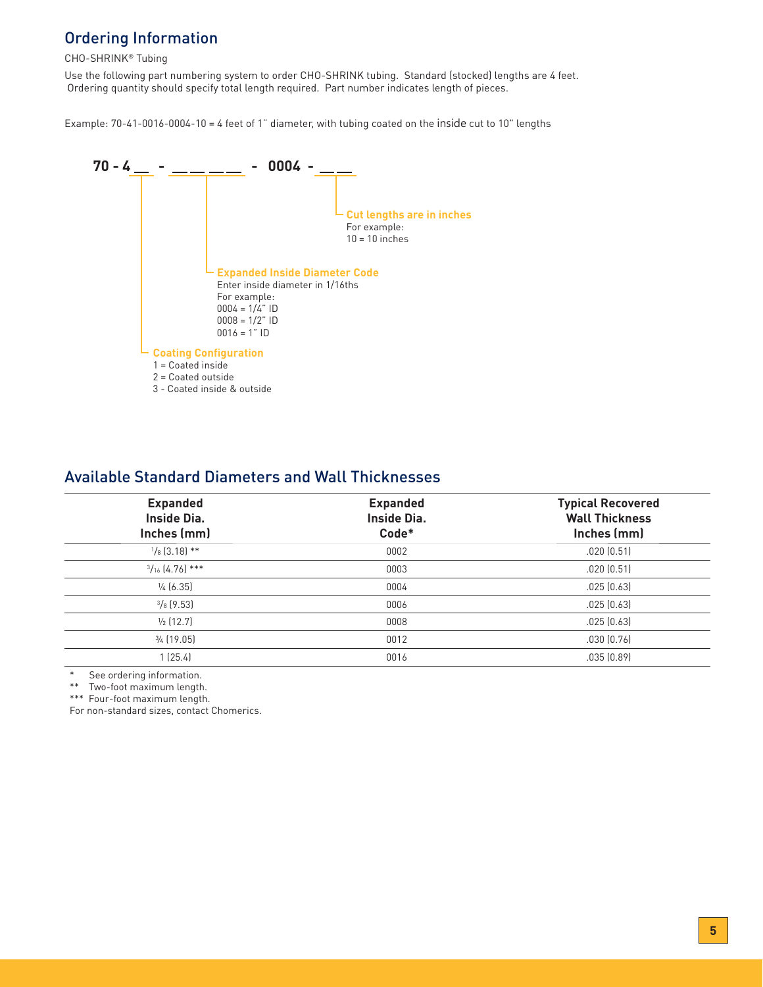## Ordering Information

#### CHO-SHRINK® Tubing

Use the following part numbering system to order CHO-SHRINK tubing. Standard (stocked) lengths are 4 feet. Ordering quantity should specify total length required. Part number indicates length of pieces.

Example: 70-41-0016-0004-10 = 4 feet of 1" diameter, with tubing coated on the inside cut to 10" lengths



### Available Standard Diameters and Wall Thicknesses

| <b>Expanded</b><br><b>Inside Dia.</b><br>Inches (mm) | <b>Expanded</b><br><b>Inside Dia.</b><br>Code* | <b>Typical Recovered</b><br><b>Wall Thickness</b><br>Inches (mm) |  |
|------------------------------------------------------|------------------------------------------------|------------------------------------------------------------------|--|
| $\frac{1}{8}$ [3.18] **                              | 0002                                           | .020(0.51)                                                       |  |
| $\frac{3}{16}$ [4.76] ***                            | 0003                                           | .020(0.51)                                                       |  |
| $\frac{1}{4}$ (6.35)                                 | 0004                                           | .025(0.63)                                                       |  |
| $\frac{3}{8}$ [9.53]                                 | 0006                                           | .025(0.63)                                                       |  |
| $\frac{1}{2}$ (12.7)                                 | 0008                                           | .025(0.63)                                                       |  |
| $\frac{3}{4}$ (19.05)                                | 0012                                           | .030(0.76)                                                       |  |
| 1(25.4)                                              | 0016                                           | .035(0.89)                                                       |  |
|                                                      |                                                |                                                                  |  |

See ordering information.

\*\* Two-foot maximum length.

\*\*\* Four-foot maximum length.

For non-standard sizes, contact Chomerics.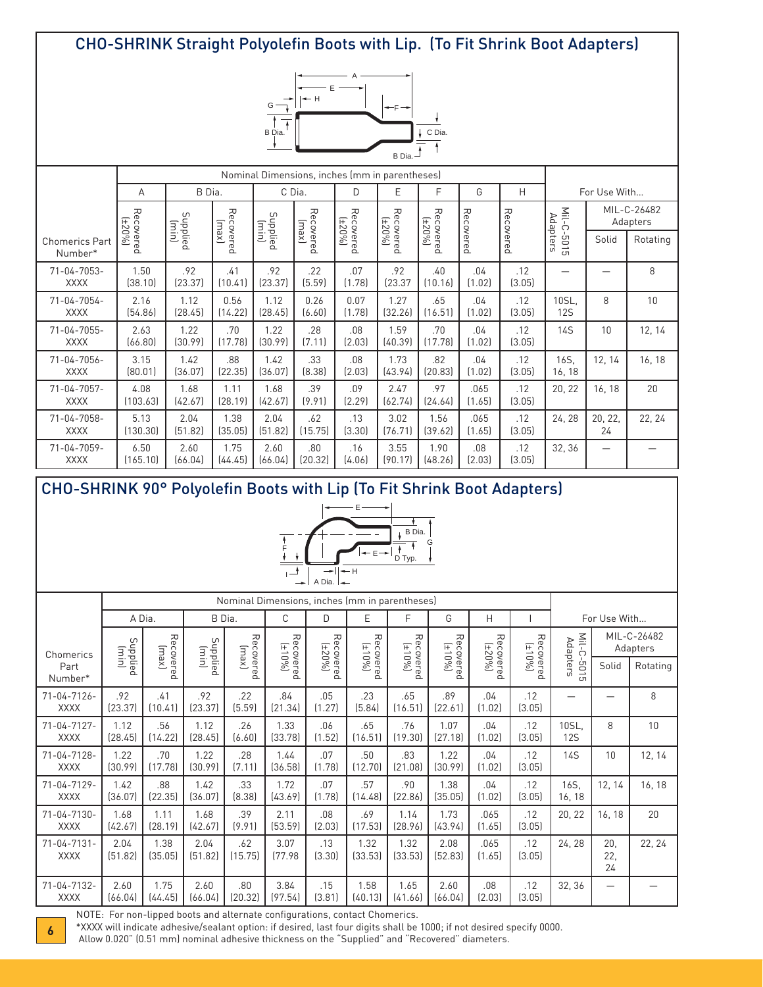## CHO-SHRINK Straight Polyolefin Boots with Lip. (To Fit Shrink Boot Adapters)



|                                   | Nominal Dimensions, inches (mm in parentheses) |                   |                    |                   |                    |                     |                             |                  |                |               |                     |               |                         |
|-----------------------------------|------------------------------------------------|-------------------|--------------------|-------------------|--------------------|---------------------|-----------------------------|------------------|----------------|---------------|---------------------|---------------|-------------------------|
| B Dia.<br>A                       |                                                |                   |                    | C Dia.<br>D       |                    |                     | F                           | G                | H              |               | For Use With        |               |                         |
|                                   | Rec<br>$(1 + 20\%)$                            | Supplied<br>(min) | Recovered<br>(xew) | Supplied<br>Imin) | Recovered<br>[xew] | Recovered<br>(±20%) | Recovered<br>$\overline{+}$ | Rec<br>$[420\%]$ | Rec            | Rec           | Nil-<br>Ċ           |               | MIL-C-26482<br>Adapters |
| <b>Chomerics Part</b><br>Number*  | covered                                        |                   |                    |                   |                    |                     | 20%                         | covered          | covered        | covered       | Adapters<br>9015    | Solid         | Rotating                |
| $71 - 04 - 7053 -$<br><b>XXXX</b> | 1.50<br>(38.10)                                | .92<br>[23.37]    | .41<br>(10.41)     | .92<br>[23.37]    | .22<br>(5.59)      | .07<br>(1.78)       | .92<br>[23.37]              | .40<br>(10.16)   | .04<br>(1.02)  | .12<br>(3.05) |                     |               | 8                       |
| 71-04-7054-<br><b>XXXX</b>        | 2.16<br>[54.86]                                | 1.12<br>(28.45)   | 0.56<br>(14.22)    | 1.12<br>(28.45)   | 0.26<br>(6.60)     | 0.07<br>(1.78)      | 1.27<br>[32.26]             | .65<br>(16.51)   | .04<br>(1.02)  | .12<br>(3.05) | 10SL.<br><b>12S</b> | 8             | 10                      |
| $71 - 04 - 7055 -$<br><b>XXXX</b> | 2.63<br>(66.80)                                | 1.22<br>(30.99)   | .70<br>(17.78)     | 1.22<br>(30.99)   | .28<br>(7.11)      | .08<br>(2.03)       | 1.59<br>(40.39)             | .70<br>(17.78)   | .04<br>(1.02)  | .12<br>(3.05) | <b>14S</b>          | 10            | 12, 14                  |
| $71 - 04 - 7056 -$<br><b>XXXX</b> | 3.15<br>(80.01)                                | 1.42<br>(36.07)   | .88<br>[22.35]     | 1.42<br>(36.07)   | .33<br>[8.38]      | .08<br>(2.03)       | 1.73<br>[43.94]             | .82<br>(20.83)   | .04<br>(1.02)  | .12<br>(3.05) | 16S.<br>16, 18      | 12, 14        | 16, 18                  |
| $71 - 04 - 7057 -$<br><b>XXXX</b> | 4.08<br>(103.63)                               | 1.68<br>[42.67]   | 1.11<br>(28.19)    | 1.68<br>[42.67]   | .39<br>(9.91)      | .09<br>(2.29)       | 2.47<br>(62.74)             | .97<br>[24.64]   | .065<br>(1.65) | .12<br>(3.05) | 20, 22              | 16, 18        | 20                      |
| 71-04-7058-<br><b>XXXX</b>        | 5.13<br>(130.30)                               | 2.04<br>(51.82)   | 1.38<br>(35.05)    | 2.04<br>(51.82)   | .62<br>(15.75)     | .13<br>(3.30)       | 3.02<br>(76.71)             | 1.56<br>[39.62]  | .065<br>(1.65) | .12<br>(3.05) | 24, 28              | 20, 22,<br>24 | 22, 24                  |
| 71-04-7059-<br><b>XXXX</b>        | 6.50<br>(165.10)                               | 2.60<br>(66.04)   | 1.75<br>[44.45]    | 2.60<br>(66.04)   | .80<br>(20.32)     | .16<br>(4.06)       | 3.55<br>(90.17)             | 1.90<br>(48.26)  | .08<br>(2.03)  | .12<br>(3.05) | 32, 36              |               |                         |

## CHO-SHRINK 90° Polyolefin Boots with Lip (To Fit Shrink Boot Adapters)



|                                   |                   |                    |                 |                    | Nominal Dimensions, inches (mm in parentheses) |                     |                     |                     |                     |                     |                     |                     |                  |                         |
|-----------------------------------|-------------------|--------------------|-----------------|--------------------|------------------------------------------------|---------------------|---------------------|---------------------|---------------------|---------------------|---------------------|---------------------|------------------|-------------------------|
|                                   | A Dia.            |                    | B Dia.          |                    | С                                              | D                   | E                   | F                   | G                   | H                   |                     | For Use With        |                  |                         |
| Chomerics                         | Supplied<br>(min) | Recovered<br>(xew) |                 | Recovered<br>(xew) | Recovered<br>(±10%)                            | Recovered<br>(±20%) | Recovered<br>(±10%) | Recovered<br>(±10%) | 刀                   | Recovered<br>(±20%) | Recovered<br>(±10%) | Mil-C-<br>Adapters  |                  | MIL-C-26482<br>Adapters |
| Part<br>Number*                   |                   |                    |                 |                    |                                                |                     |                     |                     | Recovered<br>(±10%) |                     |                     | $-5015$             | Solid            | Rotating                |
| $71 - 04 - 7126 -$<br><b>XXXX</b> | .92<br>[23.37]    | .41<br>(10.41)     | .92<br>(23.37)  | .22<br>(5.59)      | .84<br>[21.34]                                 | .05<br>(1.27)       | .23<br>(5.84)       | .65<br>(16.51)      | .89<br>[22.61]      | .04<br>(1.02)       | .12<br>(3.05)       |                     |                  | 8                       |
| $71 - 04 - 7127 -$<br><b>XXXX</b> | 1.12<br>(28.45)   | .56<br>(14.22)     | 1.12<br>(28.45) | .26<br>(6.60)      | 1.33<br>(33.78)                                | .06<br>(1.52)       | .65<br>(16.51)      | .76<br>(19.30)      | 1.07<br>[27.18]     | .04<br>(1.02)       | .12<br>(3.05)       | 10SL.<br><b>12S</b> | 8                | 10                      |
| $71 - 04 - 7128 -$<br><b>XXXX</b> | 1.22<br>(30.99)   | .70<br>(17.78)     | 1.22<br>(30.99) | .28<br>(7.11)      | 1.44<br>(36.58)                                | .07<br>(1.78)       | .50<br>(12.70)      | .83<br>(21.08)      | 1.22<br>[30.99]     | .04<br>(1.02)       | .12<br>(3.05)       | <b>14S</b>          | 10               | 12, 14                  |
| $71 - 04 - 7129 -$<br><b>XXXX</b> | 1.42<br>(36.07)   | .88<br>(22.35)     | 1.42<br>(36.07) | .33<br>[8.38]      | 1.72<br>[43.69]                                | .07<br>(1.78)       | .57<br>(14.48)      | .90<br>(22.86)      | 1.38<br>(35.05)     | .04<br>(1.02)       | .12<br>(3.05)       | 16S.<br>16, 18      | 12, 14           | 16, 18                  |
| 71-04-7130-<br><b>XXXX</b>        | 1.68<br>(42.67)   | 1.11<br>[28.19]    | 1.68<br>(42.67) | .39<br>(9.91)      | 2.11<br>(53.59)                                | .08<br>(2.03)       | .69<br>(17.53)      | 1.14<br>[28.96]     | 1.73<br>[43.94]     | .065<br>(1.65)      | .12<br>(3.05)       | 20, 22              | 16, 18           | 20                      |
| $71 - 04 - 7131 -$<br><b>XXXX</b> | 2.04<br>(51.82)   | 1.38<br>(35.05)    | 2.04<br>(51.82) | .62<br>(15.75)     | 3.07<br>(77.98)                                | .13<br>(3.30)       | 1.32<br>(33.53)     | 1.32<br>(33.53)     | 2.08<br>[52.83]     | .065<br>(1.65)      | .12<br>(3.05)       | 24, 28              | 20.<br>22,<br>24 | 22, 24                  |
| 71-04-7132-<br><b>XXXX</b>        | 2.60<br>(66.04)   | 1.75<br>[44.45]    | 2.60<br>(66.04) | .80<br>(20.32)     | 3.84<br>(97.54)                                | .15<br>(3.81)       | 1.58<br>(40.13)     | 1.65<br>[41.66]     | 2.60<br>(66.04)     | .08<br>(2.03)       | .12<br>(3.05)       | 32, 36              |                  |                         |

NOTE: For non-lipped boots and alternate configurations, contact Chomerics.

\*XXXX will indicate adhesive/sealant option: if desired, last four digits shall be 1000; if not desired specify 0000.

Allow 0.020" (0.51 mm) nominal adhesive thickness on the "Supplied" and "Recovered" diameters. **<sup>6</sup>**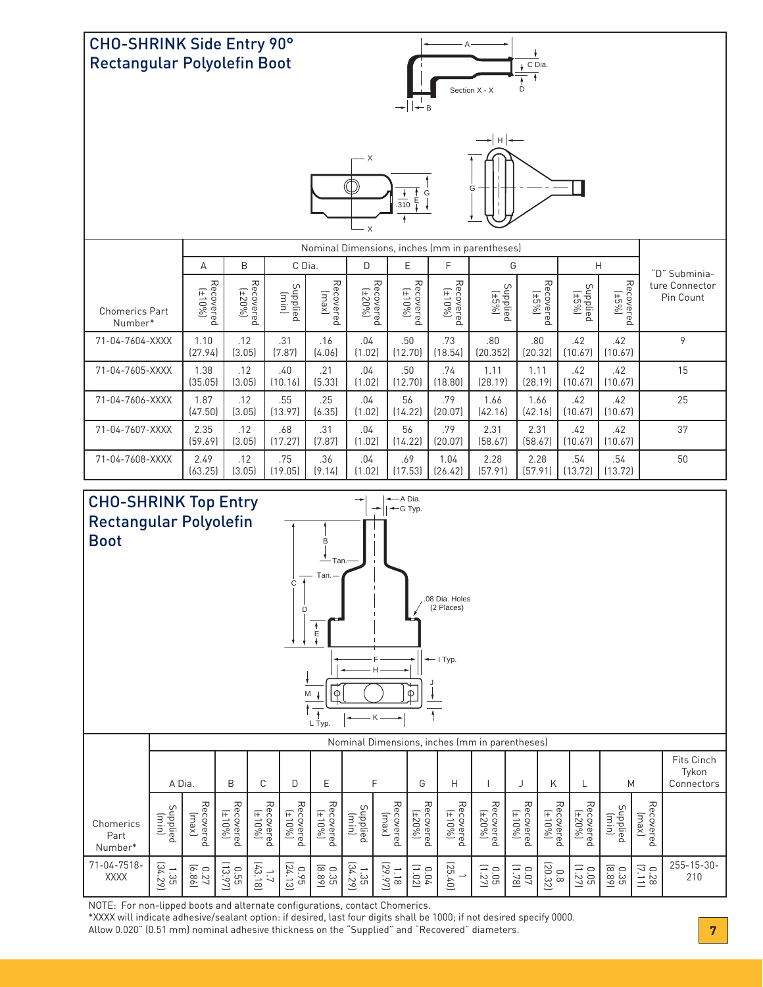



NOTE: For non-lipped boots and alternate configurations, contact Chomerics.

\*XXXX will indicate adhesive/sealant option: if desired, last four digits shall be 1000; if not desired specify 0000.

Allow 0.020" (0.51 mm) nominal adhesive thickness on the "Supplied" and "Recovered" diameters. **7**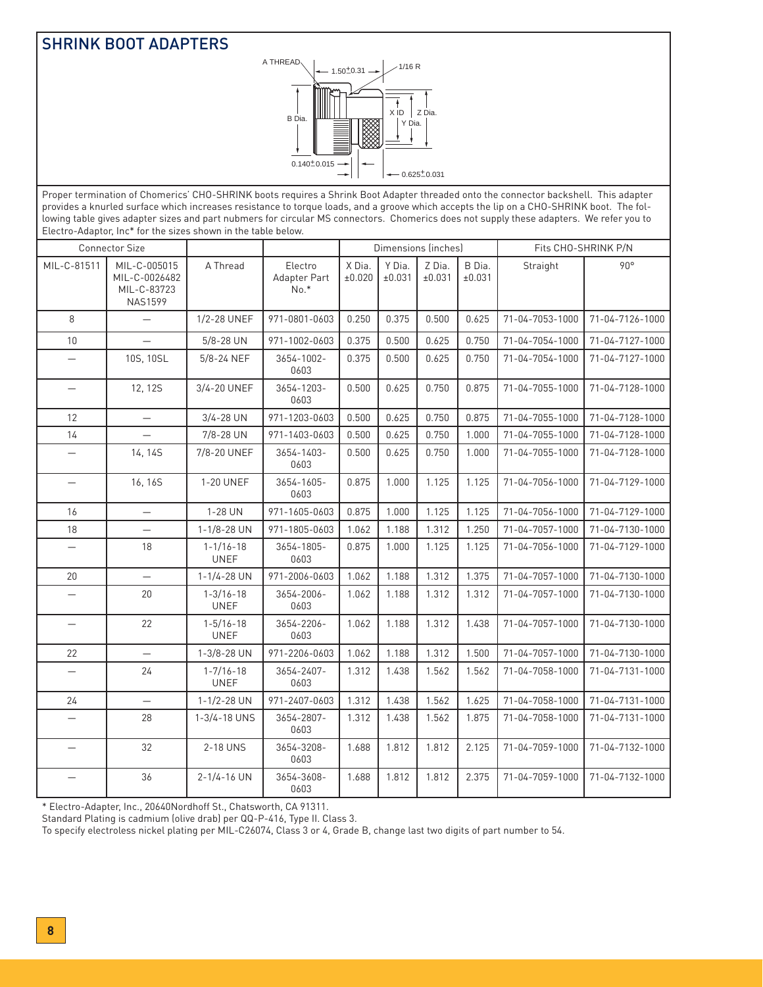### SHRINK BOOT ADAPTERS



Proper termination of Chomerics' CHO-SHRINK boots requires a Shrink Boot Adapter threaded onto the connector backshell. This adapter provides a knurled surface which increases resistance to torque loads, and a groove which accepts the lip on a CHO-SHRINK boot. The following table gives adapter sizes and part nubmers for circular MS connectors. Chomerics does not supply these adapters. We refer you to Electro-Adaptor, Inc\* for the sizes shown in the table below.

|                          | <b>Connector Size</b>                                          |                                |                                   |                  | Dimensions (inches) |                  |                  | Fits CHO-SHRINK P/N |                 |  |
|--------------------------|----------------------------------------------------------------|--------------------------------|-----------------------------------|------------------|---------------------|------------------|------------------|---------------------|-----------------|--|
| MIL-C-81511              | MIL-C-005015<br>MIL-C-0026482<br>MIL-C-83723<br><b>NAS1599</b> | A Thread                       | Electro<br>Adapter Part<br>$No.*$ | X Dia.<br>±0.020 | Y Dia.<br>±0.031    | Z Dia.<br>±0.031 | B Dia.<br>±0.031 | Straight            | 90°             |  |
| 8                        | $\overline{\phantom{0}}$                                       | 1/2-28 UNEF                    | 971-0801-0603                     | 0.250            | 0.375               | 0.500            | 0.625            | 71-04-7053-1000     | 71-04-7126-1000 |  |
| 10                       |                                                                | $5/8 - 28$ UN                  | 971-1002-0603                     | 0.375            | 0.500               | 0.625            | 0.750            | 71-04-7054-1000     | 71-04-7127-1000 |  |
| $\overline{\phantom{0}}$ | 10S, 10SL                                                      | 5/8-24 NEF                     | 3654-1002-<br>0603                | 0.375            | 0.500               | 0.625            | 0.750            | 71-04-7054-1000     | 71-04-7127-1000 |  |
|                          | 12, 12S                                                        | 3/4-20 UNEF                    | 3654-1203-<br>0603                | 0.500            | 0.625               | 0.750            | 0.875            | 71-04-7055-1000     | 71-04-7128-1000 |  |
| 12                       | $\equiv$                                                       | $3/4 - 28$ UN                  | 971-1203-0603                     | 0.500            | 0.625               | 0.750            | 0.875            | 71-04-7055-1000     | 71-04-7128-1000 |  |
| 14                       | $\overline{\phantom{0}}$                                       | 7/8-28 UN                      | 971-1403-0603                     | 0.500            | 0.625               | 0.750            | 1.000            | 71-04-7055-1000     | 71-04-7128-1000 |  |
|                          | 14, 14S                                                        | 7/8-20 UNEF                    | 3654-1403-<br>0603                | 0.500            | 0.625               | 0.750            | 1.000            | 71-04-7055-1000     | 71-04-7128-1000 |  |
| $\equiv$                 | 16, 16S                                                        | 1-20 UNEF                      | 3654-1605-<br>0603                | 0.875            | 1.000               | 1.125            | 1.125            | 71-04-7056-1000     | 71-04-7129-1000 |  |
| 16                       | $\overline{\phantom{0}}$                                       | 1-28 UN                        | 971-1605-0603                     | 0.875            | 1.000               | 1.125            | 1.125            | 71-04-7056-1000     | 71-04-7129-1000 |  |
| 18                       | $\overline{\phantom{0}}$                                       | $1 - 1/8 - 28$ UN              | 971-1805-0603                     | 1.062            | 1.188               | 1.312            | 1.250            | 71-04-7057-1000     | 71-04-7130-1000 |  |
| $\overline{\phantom{0}}$ | 18                                                             | $1 - 1/16 - 18$<br><b>UNEF</b> | 3654-1805-<br>0603                | 0.875            | 1.000               | 1.125            | 1.125            | 71-04-7056-1000     | 71-04-7129-1000 |  |
| 20                       | $\overline{\phantom{0}}$                                       | $1 - 1/4 - 28$ UN              | 971-2006-0603                     | 1.062            | 1.188               | 1.312            | 1.375            | 71-04-7057-1000     | 71-04-7130-1000 |  |
|                          | 20                                                             | $1 - 3/16 - 18$<br><b>UNEF</b> | 3654-2006-<br>0603                | 1.062            | 1.188               | 1.312            | 1.312            | 71-04-7057-1000     | 71-04-7130-1000 |  |
| $\qquad \qquad -$        | 22                                                             | $1 - 5/16 - 18$<br><b>UNEF</b> | 3654-2206-<br>0603                | 1.062            | 1.188               | 1.312            | 1.438            | 71-04-7057-1000     | 71-04-7130-1000 |  |
| 22                       | $\equiv$                                                       | 1-3/8-28 UN                    | 971-2206-0603                     | 1.062            | 1.188               | 1.312            | 1.500            | 71-04-7057-1000     | 71-04-7130-1000 |  |
|                          | 24                                                             | $1 - 7/16 - 18$<br><b>UNEF</b> | 3654-2407-<br>0603                | 1.312            | 1.438               | 1.562            | 1.562            | 71-04-7058-1000     | 71-04-7131-1000 |  |
| 24                       | $\overline{\phantom{0}}$                                       | 1-1/2-28 UN                    | 971-2407-0603                     | 1.312            | 1.438               | 1.562            | 1.625            | 71-04-7058-1000     | 71-04-7131-1000 |  |
|                          | 28                                                             | 1-3/4-18 UNS                   | 3654-2807-<br>0603                | 1.312            | 1.438               | 1.562            | 1.875            | 71-04-7058-1000     | 71-04-7131-1000 |  |
|                          | 32                                                             | 2-18 UNS                       | 3654-3208-<br>0603                | 1.688            | 1.812               | 1.812            | 2.125            | 71-04-7059-1000     | 71-04-7132-1000 |  |
|                          | 36                                                             | $2 - 1/4 - 16$ UN              | 3654-3608-<br>0603                | 1.688            | 1.812               | 1.812            | 2.375            | 71-04-7059-1000     | 71-04-7132-1000 |  |

\* Electro-Adapter, Inc., 20640Nordhoff St., Chatsworth, CA 91311.

Standard Plating is cadmium (olive drab) per QQ-P-416, Type II. Class 3.

To specify electroless nickel plating per MIL-C26074, Class 3 or 4, Grade B, change last two digits of part number to 54.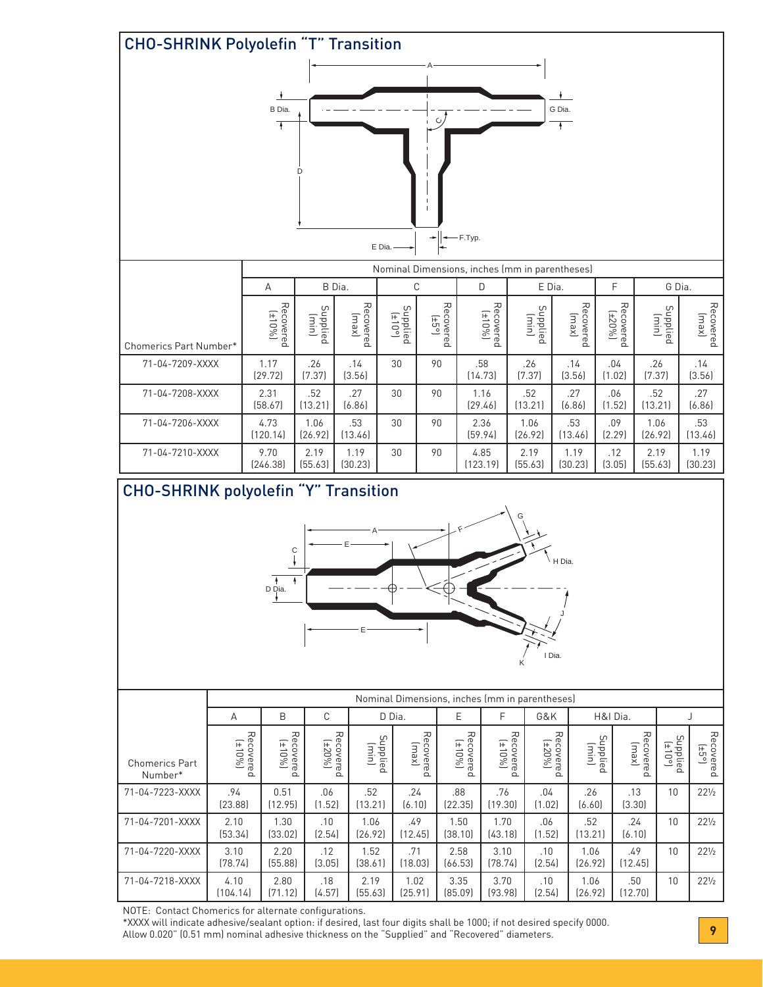

NOTE: Contact Chomerics for alternate configurations.

\*XXXX will indicate adhesive/sealant option: if desired, last four digits shall be 1000; if not desired specify 0000. Allow 0.020" (0.51 mm) nominal adhesive thickness on the "Supplied" and "Recovered" diameters. **9**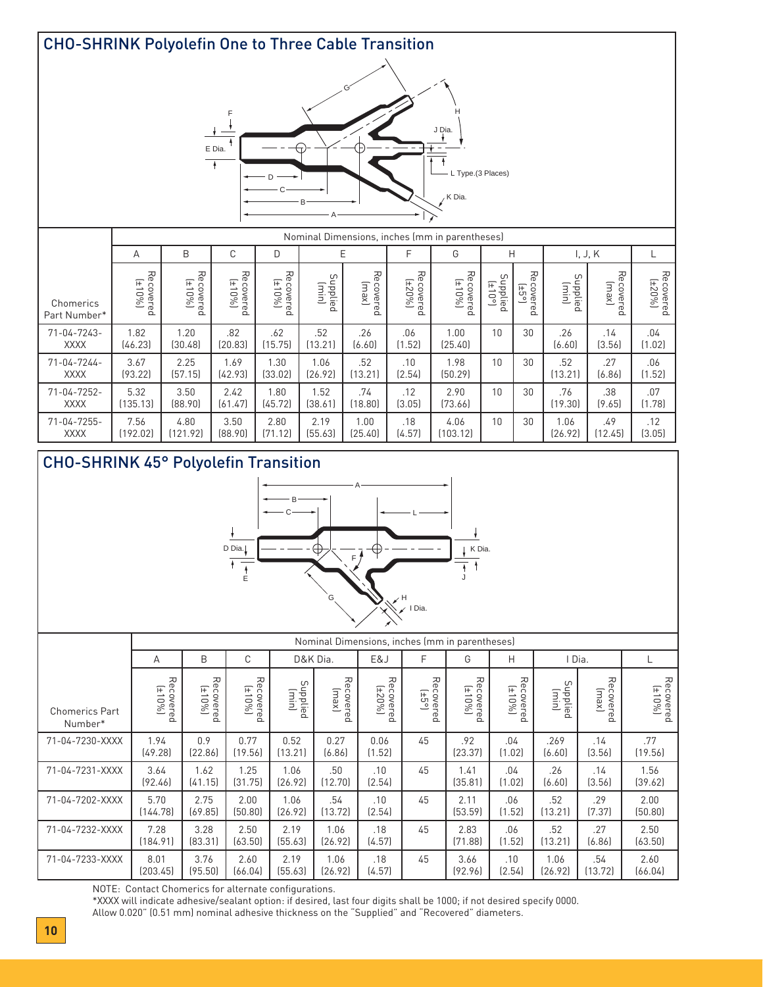

## CHO-SHRINK 45° Polyolefin Transition



|                                  | Nominal Dimensions, inches (mm in parentheses) |                     |                     |                   |                    |                                 |                        |                     |                     |                   |                    |                     |
|----------------------------------|------------------------------------------------|---------------------|---------------------|-------------------|--------------------|---------------------------------|------------------------|---------------------|---------------------|-------------------|--------------------|---------------------|
|                                  | A                                              | B                   | С                   |                   | D&K Dia.           |                                 | F                      | G                   | Н                   | I Dia.            |                    |                     |
| <b>Chomerics Part</b><br>Number* | Recovered<br>(±10%)                            | Recovered<br>(±10%) | Recovered<br>(±10%) | Supplied<br>(min) | Recovered<br>[xew] | Recovered<br>(±20%)<br>$\Omega$ | Recovered<br>Recovered | Recovered<br>(±10%) | Recovered<br>(±10%) | Supplied<br>(min) | Recovered<br>(xew) | Recovered<br>(±10%) |
| 71-04-7230-XXXX                  | 1.94<br>(49.28)                                | 0.9<br>[22.86]      | 0.77<br>(19.56)     | 0.52<br>(13.21)   | 0.27<br>(6.86)     | 0.06<br>(1.52)                  | 45                     | .92<br>[23.37]      | .04<br>(1.02)       | .269<br>(6.60)    | .14<br>(3.56)      | .77<br>(19.56)      |
| 71-04-7231-XXXX                  | 3.64<br>(92.46)                                | 1.62<br>[41.15]     | 1.25<br>[31.75]     | 1.06<br>[26.92]   | .50<br>(12.70)     | .10<br>(2.54)                   | 45                     | 1.41<br>(35.81)     | .04<br>(1.02)       | .26<br>(6.60)     | .14<br>(3.56)      | 1.56<br>(39.62)     |
| 71-04-7202-XXXX                  | 5.70<br>[144.78]                               | 2.75<br>(69.85)     | 2.00<br>(50.80)     | 1.06<br>[26.92]   | .54<br>(13.72)     | .10<br>(2.54)                   | 45                     | 2.11<br>[53.59]     | .06<br>(1.52)       | .52<br>(13.21)    | .29<br>(7.37)      | 2.00<br>(50.80)     |
| 71-04-7232-XXXX                  | 7.28<br>(184.91)                               | 3.28<br>[83.31]     | 2.50<br>(63.50)     | 2.19<br>[55.63]   | 1.06<br>[26.92]    | .18<br>(4.57)                   | 45                     | 2.83<br>[71.88]     | .06<br>(1.52)       | .52<br>(13.21)    | .27<br>(6.86)      | 2.50<br>(63.50)     |
| 71-04-7233-XXXX                  | 8.01<br>[203.45]                               | 3.76<br>(95.50)     | 2.60<br>[66.04]     | 2.19<br>[55.63]   | 1.06<br>(26.92)    | .18<br>(4.57)                   | 45                     | 3.66<br>[92.96]     | .10<br>(2.54)       | 1.06<br>[26.92]   | .54<br>(13.72)     | 2.60<br>(66.04)     |

NOTE: Contact Chomerics for alternate configurations.

\*XXXX will indicate adhesive/sealant option: if desired, last four digits shall be 1000; if not desired specify 0000.

Allow 0.020" (0.51 mm) nominal adhesive thickness on the "Supplied" and "Recovered" diameters.